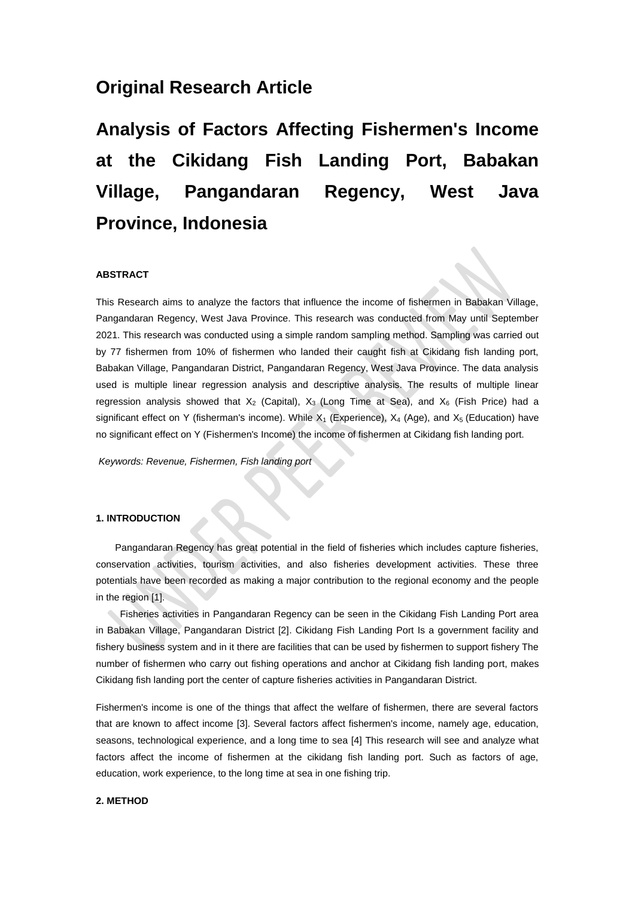## **Original Research Article**

# **Analysis of Factors Affecting Fishermen's Income at the Cikidang Fish Landing Port, Babakan Village, Pangandaran Regency, West Java Province, Indonesia**

#### **ABSTRACT**

This Research aims to analyze the factors that influence the income of fishermen in Babakan Village, Pangandaran Regency, West Java Province. This research was conducted from May until September 2021. This research was conducted using a simple random sampling method. Sampling was carried out by 77 fishermen from 10% of fishermen who landed their caught fish at Cikidang fish landing port, Babakan Village, Pangandaran District, Pangandaran Regency, West Java Province. The data analysis used is multiple linear regression analysis and descriptive analysis. The results of multiple linear regression analysis showed that  $X_2$  (Capital),  $X_3$  (Long Time at Sea), and  $X_6$  (Fish Price) had a significant effect on Y (fisherman's income). While  $X_1$  (Experience),  $X_4$  (Age), and  $X_5$  (Education) have no significant effect on Y (Fishermen's Income) the income of fishermen at Cikidang fish landing port.

*Keywords: Revenue, Fishermen, Fish landing port*

#### **1. INTRODUCTION**

Pangandaran Regency has great potential in the field of fisheries which includes capture fisheries, conservation activities, tourism activities, and also fisheries development activities. These three potentials have been recorded as making a major contribution to the regional economy and the people in the region [1].

Fisheries activities in Pangandaran Regency can be seen in the Cikidang Fish Landing Port area in Babakan Village, Pangandaran District [2]. Cikidang Fish Landing Port Is a government facility and fishery business system and in it there are facilities that can be used by fishermen to support fishery The number of fishermen who carry out fishing operations and anchor at Cikidang fish landing port, makes Cikidang fish landing port the center of capture fisheries activities in Pangandaran District.

Fishermen's income is one of the things that affect the welfare of fishermen, there are several factors that are known to affect income [3]. Several factors affect fishermen's income, namely age, education, seasons, technological experience, and a long time to sea [4] This research will see and analyze what factors affect the income of fishermen at the cikidang fish landing port. Such as factors of age, education, work experience, to the long time at sea in one fishing trip.

#### **2. METHOD**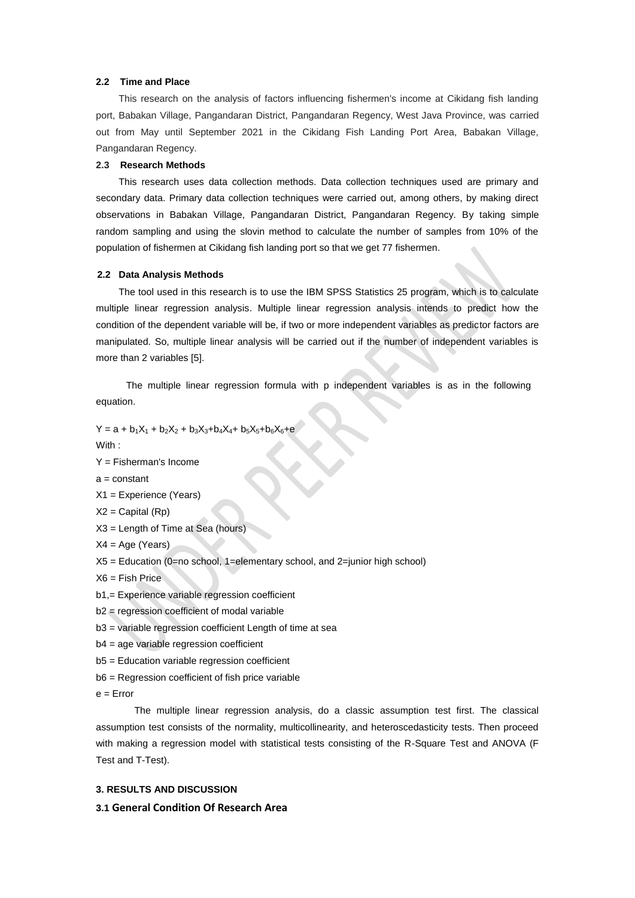#### **2.2 Time and Place**

This research on the analysis of factors influencing fishermen's income at Cikidang fish landing port, Babakan Village, Pangandaran District, Pangandaran Regency, West Java Province, was carried out from May until September 2021 in the Cikidang Fish Landing Port Area, Babakan Village, Pangandaran Regency.

#### **2.3 Research Methods**

This research uses data collection methods. Data collection techniques used are primary and secondary data. Primary data collection techniques were carried out, among others, by making direct observations in Babakan Village, Pangandaran District, Pangandaran Regency. By taking simple random sampling and using the slovin method to calculate the number of samples from 10% of the population of fishermen at Cikidang fish landing port so that we get 77 fishermen.

#### **2.2 Data Analysis Methods**

The tool used in this research is to use the IBM SPSS Statistics 25 program, which is to calculate multiple linear regression analysis. Multiple linear regression analysis intends to predict how the condition of the dependent variable will be, if two or more independent variables as predictor factors are manipulated. So, multiple linear analysis will be carried out if the number of independent variables is more than 2 variables [5].

The multiple linear regression formula with p independent variables is as in the following equation.

 $Y = a + b_1X_1 + b_2X_2 + b_3X_3 + b_4X_4 + b_5X_5 + b_6X_6 + e$ 

With :

Y = Fisherman's Income

- $a = constant$
- X1 = Experience (Years)
- $X2 =$  Capital  $(Rp)$
- X3 = Length of Time at Sea (hours)
- $X4 = Age (Years)$
- $X5 =$  Education (0=no school, 1=elementary school, and 2=junior high school)
- $X6 =$  Fish Price
- b1,= Experience variable regression coefficient
- b2 = regression coefficient of modal variable
- b3 = variable regression coefficient Length of time at sea
- b4 = age variable regression coefficient
- b5 = Education variable regression coefficient
- b6 = Regression coefficient of fish price variable

 $e =$  Error

The multiple linear regression analysis, do a classic assumption test first. The classical assumption test consists of the normality, multicollinearity, and heteroscedasticity tests. Then proceed with making a regression model with statistical tests consisting of the R-Square Test and ANOVA (F Test and T-Test).

#### **3. RESULTS AND DISCUSSION**

**3.1 General Condition Of Research Area**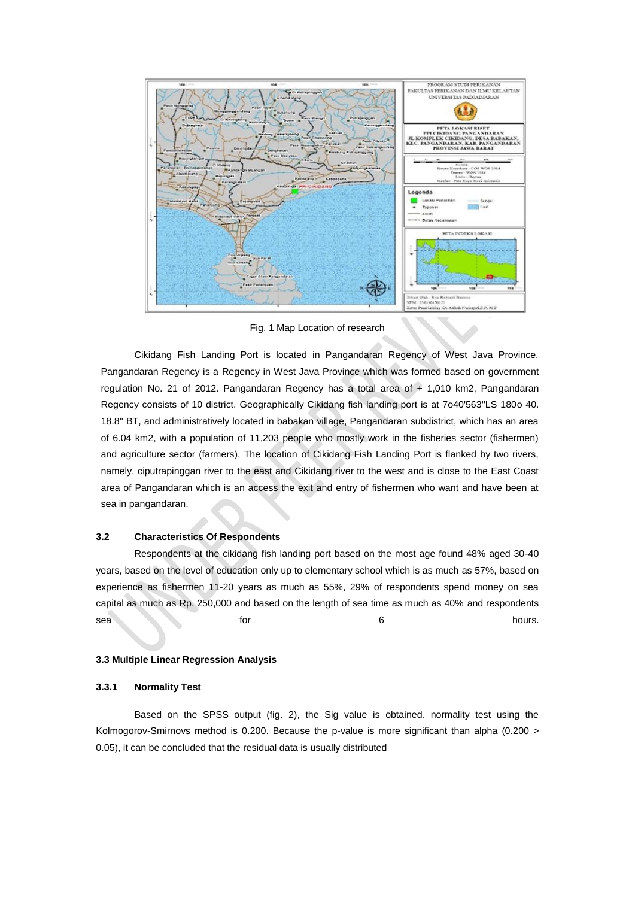

Fig. 1 Map Location of research

Cikidang Fish Landing Port is located in Pangandaran Regency of West Java Province. Pangandaran Regency is a Regency in West Java Province which was formed based on government regulation No. 21 of 2012. Pangandaran Regency has a total area of  $+1,010$  km2, Pangandaran Regency consists of 10 district. Geographically Cikidang fish landing port is at 7o40'563''LS 180o 40. 18.8'' BT, and administratively located in babakan village, Pangandaran subdistrict, which has an area of 6.04 km2, with a population of 11,203 people who mostly work in the fisheries sector (fishermen) and agriculture sector (farmers). The location of Cikidang Fish Landing Port is flanked by two rivers, namely, ciputrapinggan river to the east and Cikidang river to the west and is close to the East Coast area of Pangandaran which is an access the exit and entry of fishermen who want and have been at sea in pangandaran.

#### **3.2 Characteristics Of Respondents**

Respondents at the cikidang fish landing port based on the most age found 48% aged 30-40 years, based on the level of education only up to elementary school which is as much as 57%, based on experience as fishermen 11-20 years as much as 55%, 29% of respondents spend money on sea capital as much as Rp. 250,000 and based on the length of sea time as much as 40% and respondents sea **for 6 hours.** 

#### **3.3 Multiple Linear Regression Analysis**

#### **3.3.1 Normality Test**

Based on the SPSS output (fig. 2), the Sig value is obtained. normality test using the Kolmogorov-Smirnovs method is 0.200. Because the p-value is more significant than alpha (0.200 > 0.05), it can be concluded that the residual data is usually distributed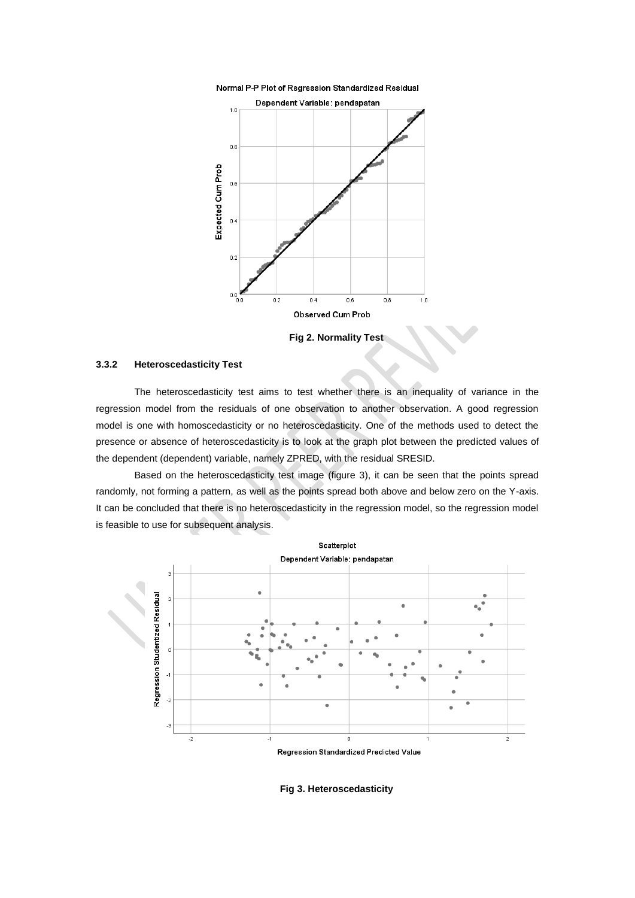



**Fig 2. Normality Test**

#### **3.3.2 Heteroscedasticity Test**

The heteroscedasticity test aims to test whether there is an inequality of variance in the regression model from the residuals of one observation to another observation. A good regression model is one with homoscedasticity or no heteroscedasticity. One of the methods used to detect the presence or absence of heteroscedasticity is to look at the graph plot between the predicted values of the dependent (dependent) variable, namely ZPRED, with the residual SRESID.

Based on the heteroscedasticity test image (figure 3), it can be seen that the points spread randomly, not forming a pattern, as well as the points spread both above and below zero on the Y-axis. It can be concluded that there is no heteroscedasticity in the regression model, so the regression model is feasible to use for subsequent analysis.



#### **Fig 3. Heteroscedasticity**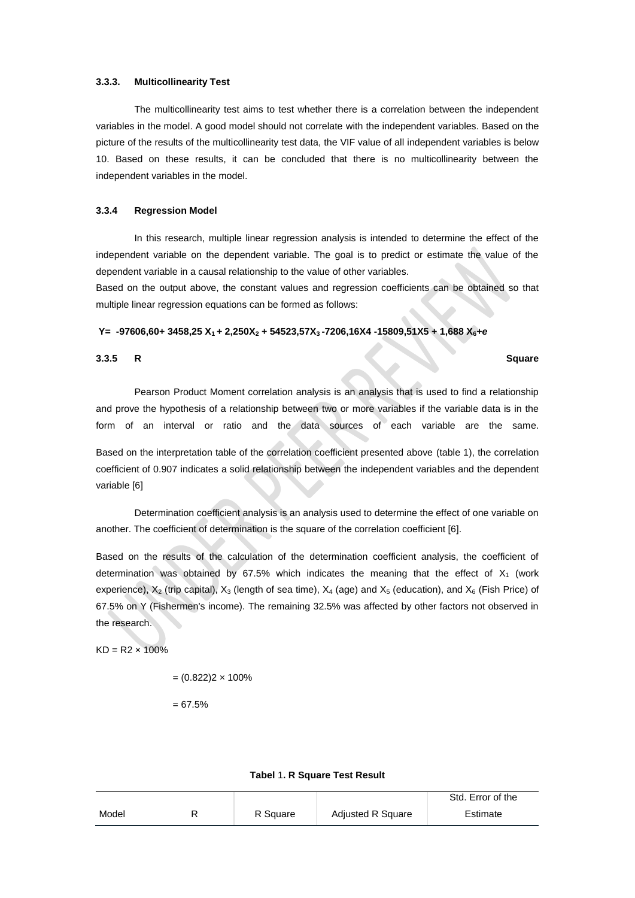#### **3.3.3. Multicollinearity Test**

The multicollinearity test aims to test whether there is a correlation between the independent variables in the model. A good model should not correlate with the independent variables. Based on the picture of the results of the multicollinearity test data, the VIF value of all independent variables is below 10. Based on these results, it can be concluded that there is no multicollinearity between the independent variables in the model.

#### **3.3.4 Regression Model**

In this research, multiple linear regression analysis is intended to determine the effect of the independent variable on the dependent variable. The goal is to predict or estimate the value of the dependent variable in a causal relationship to the value of other variables.

Based on the output above, the constant values and regression coefficients can be obtained so that multiple linear regression equations can be formed as follows:

#### **Y= -97606,60+ 3458,25 X1 + 2,250X<sup>2</sup> + 54523,57X3 -7206,16X4 -15809,51X5 + 1,688 X6+***e*

#### **3.3.5 R Square**

Pearson Product Moment correlation analysis is an analysis that is used to find a relationship and prove the hypothesis of a relationship between two or more variables if the variable data is in the form of an interval or ratio and the data sources of each variable are the same.

Based on the interpretation table of the correlation coefficient presented above (table 1), the correlation coefficient of 0.907 indicates a solid relationship between the independent variables and the dependent variable [6]

Determination coefficient analysis is an analysis used to determine the effect of one variable on another. The coefficient of determination is the square of the correlation coefficient [6].

Based on the results of the calculation of the determination coefficient analysis, the coefficient of determination was obtained by 67.5% which indicates the meaning that the effect of  $X_1$  (work experience),  $X_2$  (trip capital),  $X_3$  (length of sea time),  $X_4$  (age) and  $X_5$  (education), and  $X_6$  (Fish Price) of 67.5% on Y (Fishermen's income). The remaining 32.5% was affected by other factors not observed in the research.

 $KD = R2 \times 100\%$ 

 $= (0.822)2 \times 100\%$ 

 $= 67.5%$ 

|  |  | Tabel 1. R Square Test Result |  |  |
|--|--|-------------------------------|--|--|
|--|--|-------------------------------|--|--|

|       |          |                          | Std. Error of the |
|-------|----------|--------------------------|-------------------|
| Model | R Square | <b>Adjusted R Square</b> | Estimate          |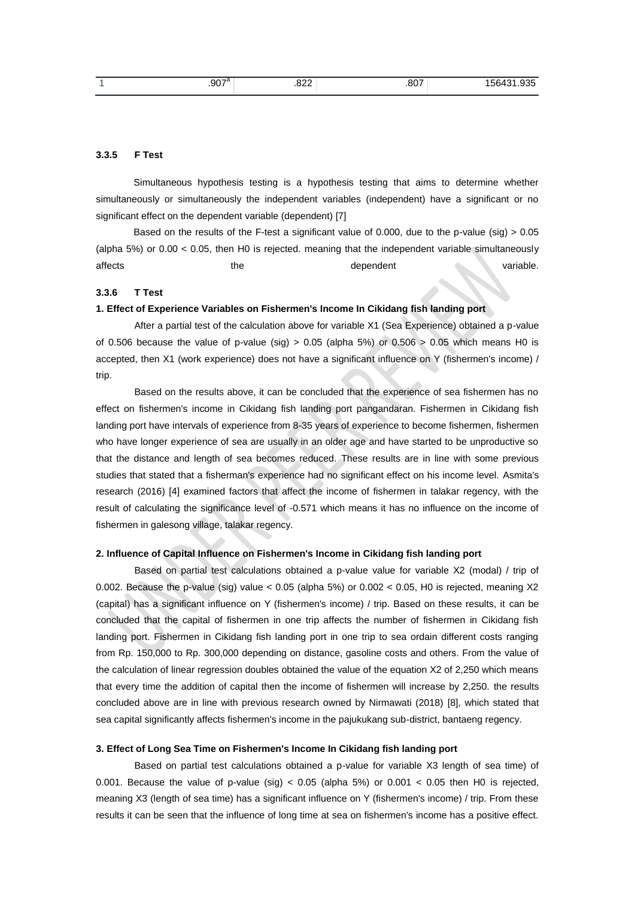| $.907^a$ | 000<br>.022<br>____ | 007<br>.ou | $- - -$<br>ъ.<br><b>LL</b><br>564<br>ື່ອວບ |
|----------|---------------------|------------|--------------------------------------------|
|          |                     |            |                                            |

#### **3.3.5 F Test**

Simultaneous hypothesis testing is a hypothesis testing that aims to determine whether simultaneously or simultaneously the independent variables (independent) have a significant or no significant effect on the dependent variable (dependent) [7]

Based on the results of the F-test a significant value of 0.000, due to the p-value (sig)  $> 0.05$ (alpha 5%) or 0.00 < 0.05, then H0 is rejected. meaning that the independent variable simultaneously affects **the dependent** variable.

#### **3.3.6 T Test**

#### **1. Effect of Experience Variables on Fishermen's Income In Cikidang fish landing port**

After a partial test of the calculation above for variable X1 (Sea Experience) obtained a p-value of 0.506 because the value of p-value (sig)  $> 0.05$  (alpha 5%) or 0.506  $> 0.05$  which means H0 is accepted, then X1 (work experience) does not have a significant influence on Y (fishermen's income) / trip.

Based on the results above, it can be concluded that the experience of sea fishermen has no effect on fishermen's income in Cikidang fish landing port pangandaran. Fishermen in Cikidang fish landing port have intervals of experience from 8-35 years of experience to become fishermen, fishermen who have longer experience of sea are usually in an older age and have started to be unproductive so that the distance and length of sea becomes reduced. These results are in line with some previous studies that stated that a fisherman's experience had no significant effect on his income level. Asmita's research (2016) [4] examined factors that affect the income of fishermen in talakar regency, with the result of calculating the significance level of -0.571 which means it has no influence on the income of fishermen in galesong village, talakar regency.

#### **2. Influence of Capital Influence on Fishermen's Income in Cikidang fish landing port**

Based on partial test calculations obtained a p-value value for variable X2 (modal) / trip of 0.002. Because the p-value (sig) value  $<$  0.05 (alpha 5%) or 0.002  $<$  0.05, H0 is rejected, meaning X2 (capital) has a significant influence on Y (fishermen's income) / trip. Based on these results, it can be concluded that the capital of fishermen in one trip affects the number of fishermen in Cikidang fish landing port. Fishermen in Cikidang fish landing port in one trip to sea ordain different costs ranging from Rp. 150,000 to Rp. 300,000 depending on distance, gasoline costs and others. From the value of the calculation of linear regression doubles obtained the value of the equation X2 of 2,250 which means that every time the addition of capital then the income of fishermen will increase by 2,250. the results concluded above are in line with previous research owned by Nirmawati (2018) [8], which stated that sea capital significantly affects fishermen's income in the pajukukang sub-district, bantaeng regency.

#### **3. Effect of Long Sea Time on Fishermen's Income In Cikidang fish landing port**

Based on partial test calculations obtained a p-value for variable X3 length of sea time) of 0.001. Because the value of p-value (sig)  $<$  0.05 (alpha 5%) or 0.001  $<$  0.05 then H0 is rejected, meaning X3 (length of sea time) has a significant influence on Y (fishermen's income) / trip. From these results it can be seen that the influence of long time at sea on fishermen's income has a positive effect.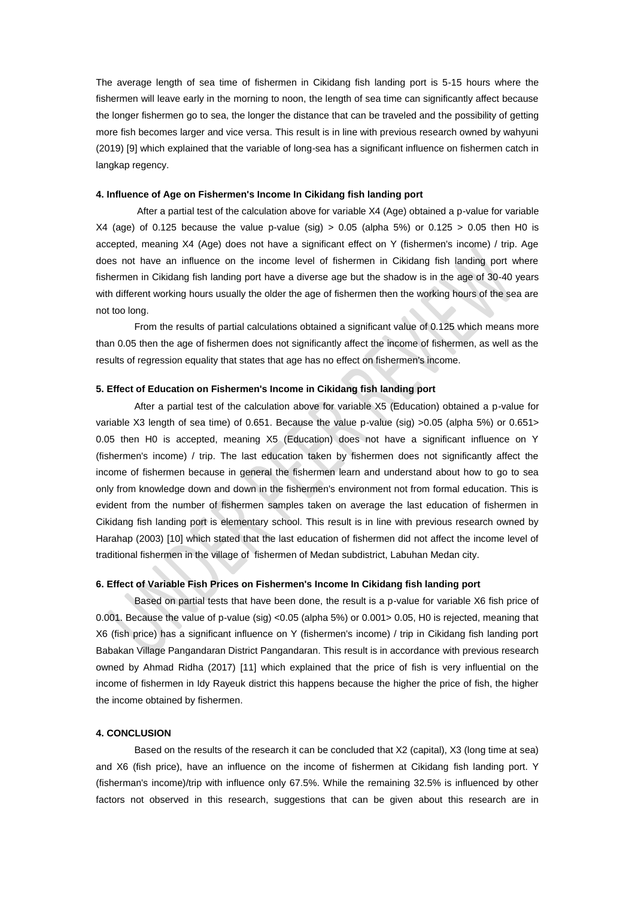The average length of sea time of fishermen in Cikidang fish landing port is 5-15 hours where the fishermen will leave early in the morning to noon, the length of sea time can significantly affect because the longer fishermen go to sea, the longer the distance that can be traveled and the possibility of getting more fish becomes larger and vice versa. This result is in line with previous research owned by wahyuni (2019) [9] which explained that the variable of long-sea has a significant influence on fishermen catch in langkap regency.

#### **4. Influence of Age on Fishermen's Income In Cikidang fish landing port**

After a partial test of the calculation above for variable X4 (Age) obtained a p-value for variable X4 (age) of 0.125 because the value p-value (sig)  $> 0.05$  (alpha 5%) or 0.125  $> 0.05$  then H0 is accepted, meaning X4 (Age) does not have a significant effect on Y (fishermen's income) / trip. Age does not have an influence on the income level of fishermen in Cikidang fish landing port where fishermen in Cikidang fish landing port have a diverse age but the shadow is in the age of 30-40 years with different working hours usually the older the age of fishermen then the working hours of the sea are not too long.

From the results of partial calculations obtained a significant value of 0.125 which means more than 0.05 then the age of fishermen does not significantly affect the income of fishermen, as well as the results of regression equality that states that age has no effect on fishermen's income.

#### **5. Effect of Education on Fishermen's Income in Cikidang fish landing port**

After a partial test of the calculation above for variable X5 (Education) obtained a p-value for variable X3 length of sea time) of 0.651. Because the value p-value (sig) >0.05 (alpha 5%) or 0.651> 0.05 then H0 is accepted, meaning X5 (Education) does not have a significant influence on Y (fishermen's income) / trip. The last education taken by fishermen does not significantly affect the income of fishermen because in general the fishermen learn and understand about how to go to sea only from knowledge down and down in the fishermen's environment not from formal education. This is evident from the number of fishermen samples taken on average the last education of fishermen in Cikidang fish landing port is elementary school. This result is in line with previous research owned by Harahap (2003) [10] which stated that the last education of fishermen did not affect the income level of traditional fishermen in the village of fishermen of Medan subdistrict, Labuhan Medan city.

#### **6. Effect of Variable Fish Prices on Fishermen's Income In Cikidang fish landing port**

Based on partial tests that have been done, the result is a p-value for variable X6 fish price of 0.001. Because the value of p-value (sig) <0.05 (alpha 5%) or 0.001> 0.05, H0 is rejected, meaning that X6 (fish price) has a significant influence on Y (fishermen's income) / trip in Cikidang fish landing port Babakan Village Pangandaran District Pangandaran. This result is in accordance with previous research owned by Ahmad Ridha (2017) [11] which explained that the price of fish is very influential on the income of fishermen in Idy Rayeuk district this happens because the higher the price of fish, the higher the income obtained by fishermen.

#### **4. CONCLUSION**

Based on the results of the research it can be concluded that X2 (capital), X3 (long time at sea) and X6 (fish price), have an influence on the income of fishermen at Cikidang fish landing port. Y (fisherman's income)/trip with influence only 67.5%. While the remaining 32.5% is influenced by other factors not observed in this research, suggestions that can be given about this research are in